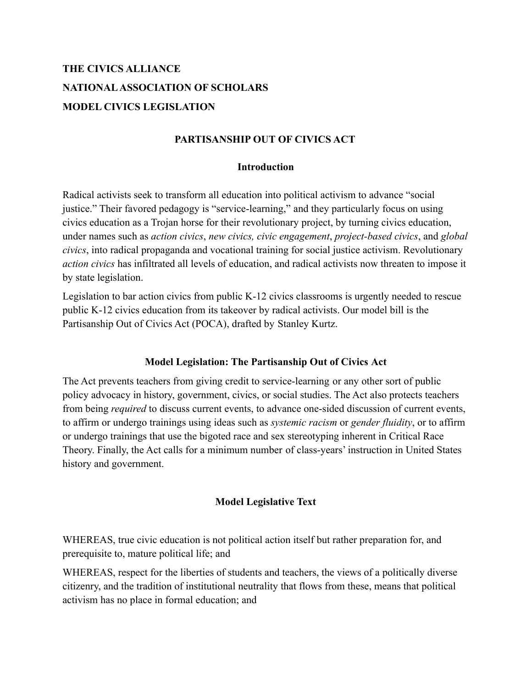# **THE CIVICS ALLIANCE NATIONALASSOCIATION OF SCHOLARS MODEL CIVICS LEGISLATION**

## **PARTISANSHIP OUT OF CIVICS ACT**

#### **Introduction**

Radical activists seek to transform all education into political activism to advance "social justice." Their favored pedagogy is "service-learning," and they particularly focus on using civics education as a Trojan horse for their revolutionary project, by turning civics education, under names such as *action civics*, *new civics, civic engagement*, *project-based civics*, and *global civics*, into radical propaganda and vocational training for social justice activism. Revolutionary *action civics* has infiltrated all levels of education, and radical activists now threaten to impose it by state legislation.

Legislation to bar action civics from public K-12 civics classrooms is urgently needed to rescue public K-12 civics education from its takeover by radical activists. Our model bill is the Partisanship Out of Civics Act (POCA), drafted by Stanley Kurtz.

#### **Model Legislation: The Partisanship Out of Civics Act**

The Act prevents teachers from giving credit to service-learning or any other sort of public policy advocacy in history, government, civics, or social studies. The Act also protects teachers from being *required* to discuss current events, to advance one-sided discussion of current events, to affirm or undergo trainings using ideas such as *systemic racism* or *gender fluidity*, or to affirm or undergo trainings that use the bigoted race and sex stereotyping inherent in Critical Race Theory. Finally, the Act calls for a minimum number of class-years' instruction in United States history and government.

#### **Model Legislative Text**

WHEREAS, true civic education is not political action itself but rather preparation for, and prerequisite to, mature political life; and

WHEREAS, respect for the liberties of students and teachers, the views of a politically diverse citizenry, and the tradition of institutional neutrality that flows from these, means that political activism has no place in formal education; and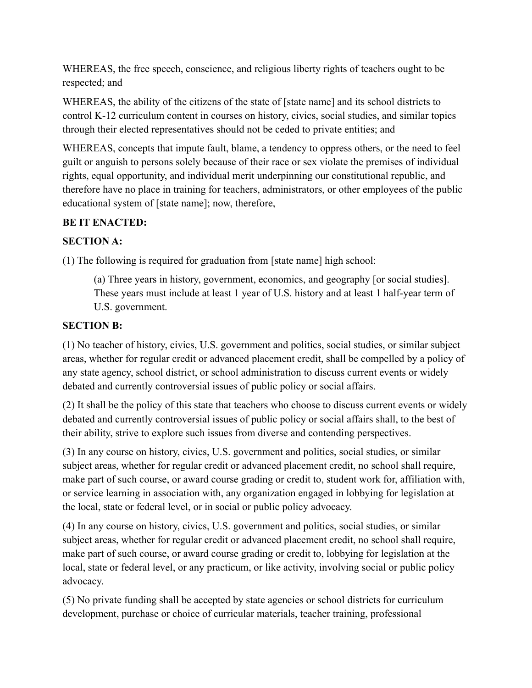WHEREAS, the free speech, conscience, and religious liberty rights of teachers ought to be respected; and

WHEREAS, the ability of the citizens of the state of [state name] and its school districts to control K-12 curriculum content in courses on history, civics, social studies, and similar topics through their elected representatives should not be ceded to private entities; and

WHEREAS, concepts that impute fault, blame, a tendency to oppress others, or the need to feel guilt or anguish to persons solely because of their race or sex violate the premises of individual rights, equal opportunity, and individual merit underpinning our constitutional republic, and therefore have no place in training for teachers, administrators, or other employees of the public educational system of [state name]; now, therefore,

## **BE IT ENACTED:**

## **SECTION A:**

(1) The following is required for graduation from [state name] high school:

(a) Three years in history, government, economics, and geography [or social studies]. These years must include at least 1 year of U.S. history and at least 1 half-year term of U.S. government.

## **SECTION B:**

(1) No teacher of history, civics, U.S. government and politics, social studies, or similar subject areas, whether for regular credit or advanced placement credit, shall be compelled by a policy of any state agency, school district, or school administration to discuss current events or widely debated and currently controversial issues of public policy or social affairs.

(2) It shall be the policy of this state that teachers who choose to discuss current events or widely debated and currently controversial issues of public policy or social affairs shall, to the best of their ability, strive to explore such issues from diverse and contending perspectives.

(3) In any course on history, civics, U.S. government and politics, social studies, or similar subject areas, whether for regular credit or advanced placement credit, no school shall require, make part of such course, or award course grading or credit to, student work for, affiliation with, or service learning in association with, any organization engaged in lobbying for legislation at the local, state or federal level, or in social or public policy advocacy.

(4) In any course on history, civics, U.S. government and politics, social studies, or similar subject areas, whether for regular credit or advanced placement credit, no school shall require, make part of such course, or award course grading or credit to, lobbying for legislation at the local, state or federal level, or any practicum, or like activity, involving social or public policy advocacy.

(5) No private funding shall be accepted by state agencies or school districts for curriculum development, purchase or choice of curricular materials, teacher training, professional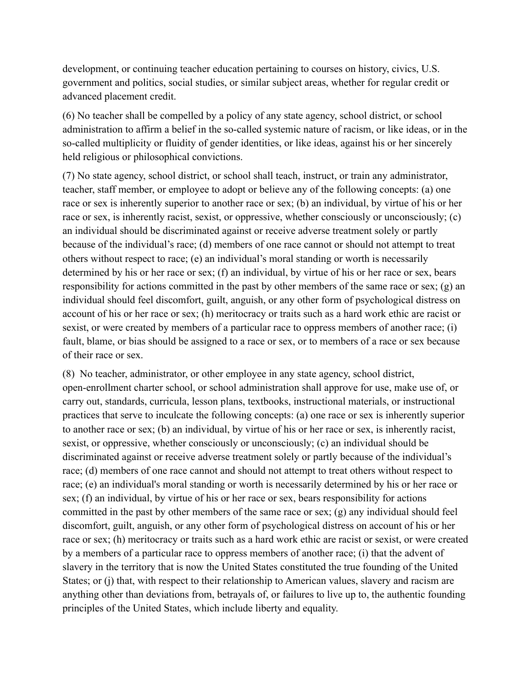development, or continuing teacher education pertaining to courses on history, civics, U.S. government and politics, social studies, or similar subject areas, whether for regular credit or advanced placement credit.

(6) No teacher shall be compelled by a policy of any state agency, school district, or school administration to affirm a belief in the so-called systemic nature of racism, or like ideas, or in the so-called multiplicity or fluidity of gender identities, or like ideas, against his or her sincerely held religious or philosophical convictions.

(7) No state agency, school district, or school shall teach, instruct, or train any administrator, teacher, staff member, or employee to adopt or believe any of the following concepts: (a) one race or sex is inherently superior to another race or sex; (b) an individual, by virtue of his or her race or sex, is inherently racist, sexist, or oppressive, whether consciously or unconsciously; (c) an individual should be discriminated against or receive adverse treatment solely or partly because of the individual's race; (d) members of one race cannot or should not attempt to treat others without respect to race; (e) an individual's moral standing or worth is necessarily determined by his or her race or sex; (f) an individual, by virtue of his or her race or sex, bears responsibility for actions committed in the past by other members of the same race or sex; (g) an individual should feel discomfort, guilt, anguish, or any other form of psychological distress on account of his or her race or sex; (h) meritocracy or traits such as a hard work ethic are racist or sexist, or were created by members of a particular race to oppress members of another race; (i) fault, blame, or bias should be assigned to a race or sex, or to members of a race or sex because of their race or sex.

(8) No teacher, administrator, or other employee in any state agency, school district, open-enrollment charter school, or school administration shall approve for use, make use of, or carry out, standards, curricula, lesson plans, textbooks, instructional materials, or instructional practices that serve to inculcate the following concepts: (a) one race or sex is inherently superior to another race or sex; (b) an individual, by virtue of his or her race or sex, is inherently racist, sexist, or oppressive, whether consciously or unconsciously; (c) an individual should be discriminated against or receive adverse treatment solely or partly because of the individual's race; (d) members of one race cannot and should not attempt to treat others without respect to race; (e) an individual's moral standing or worth is necessarily determined by his or her race or sex; (f) an individual, by virtue of his or her race or sex, bears responsibility for actions committed in the past by other members of the same race or sex; (g) any individual should feel discomfort, guilt, anguish, or any other form of psychological distress on account of his or her race or sex; (h) meritocracy or traits such as a hard work ethic are racist or sexist, or were created by a members of a particular race to oppress members of another race; (i) that the advent of slavery in the territory that is now the United States constituted the true founding of the United States; or (j) that, with respect to their relationship to American values, slavery and racism are anything other than deviations from, betrayals of, or failures to live up to, the authentic founding principles of the United States, which include liberty and equality.